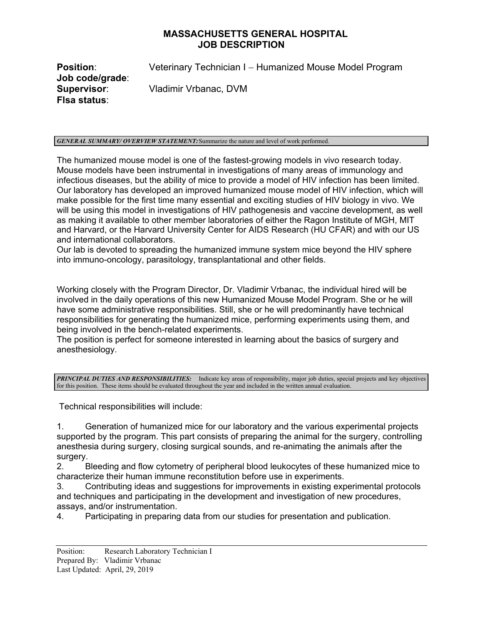## **MASSACHUSETTS GENERAL HOSPITAL JOB DESCRIPTION**

**Position:** Veterinary Technician I – Humanized Mouse Model Program **Job code/grade**: **Supervisor**: Vladimir Vrbanac, DVM **Flsa status**:

## *GENERAL SUMMARY/ OVERVIEW STATEMENT:*Summarize the nature and level of work performed.

The humanized mouse model is one of the fastest-growing models in vivo research today. Mouse models have been instrumental in investigations of many areas of immunology and infectious diseases, but the ability of mice to provide a model of HIV infection has been limited. Our laboratory has developed an improved humanized mouse model of HIV infection, which will make possible for the first time many essential and exciting studies of HIV biology in vivo. We will be using this model in investigations of HIV pathogenesis and vaccine development, as well as making it available to other member laboratories of either the Ragon Institute of MGH, MIT and Harvard, or the Harvard University Center for AIDS Research (HU CFAR) and with our US and international collaborators.

Our lab is devoted to spreading the humanized immune system mice beyond the HIV sphere into immuno-oncology, parasitology, transplantational and other fields.

Working closely with the Program Director, Dr. Vladimir Vrbanac, the individual hired will be involved in the daily operations of this new Humanized Mouse Model Program. She or he will have some administrative responsibilities. Still, she or he will predominantly have technical responsibilities for generating the humanized mice, performing experiments using them, and being involved in the bench-related experiments.

The position is perfect for someone interested in learning about the basics of surgery and anesthesiology.

*PRINCIPAL DUTIES AND RESPONSIBILITIES:* Indicate key areas of responsibility, major job duties, special projects and key objectives for this position. These items should be evaluated throughout the year and included in the written annual evaluation.

Technical responsibilities will include:

1. Generation of humanized mice for our laboratory and the various experimental projects supported by the program. This part consists of preparing the animal for the surgery, controlling anesthesia during surgery, closing surgical sounds, and re-animating the animals after the surgery.

2. Bleeding and flow cytometry of peripheral blood leukocytes of these humanized mice to characterize their human immune reconstitution before use in experiments.

3. Contributing ideas and suggestions for improvements in existing experimental protocols and techniques and participating in the development and investigation of new procedures, assays, and/or instrumentation.

4. Participating in preparing data from our studies for presentation and publication.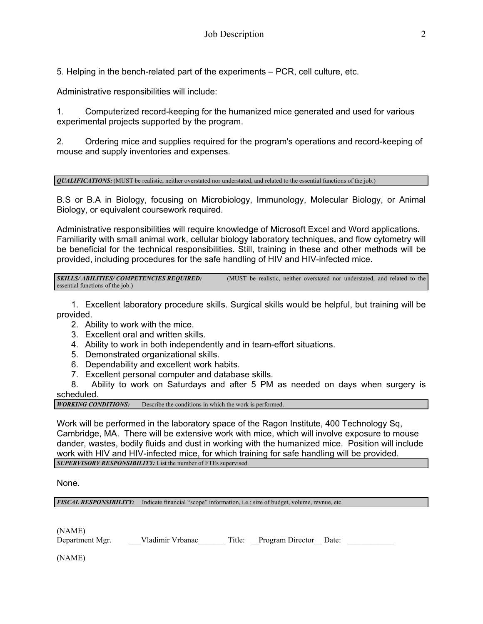5. Helping in the bench-related part of the experiments – PCR, cell culture, etc.

Administrative responsibilities will include:

1. Computerized record-keeping for the humanized mice generated and used for various experimental projects supported by the program.

2. Ordering mice and supplies required for the program's operations and record-keeping of mouse and supply inventories and expenses.

*QUALIFICATIONS:* (MUST be realistic, neither overstated nor understated, and related to the essential functions of the job.)

B.S or B.A in Biology, focusing on Microbiology, Immunology, Molecular Biology, or Animal Biology, or equivalent coursework required.

Administrative responsibilities will require knowledge of Microsoft Excel and Word applications. Familiarity with small animal work, cellular biology laboratory techniques, and flow cytometry will be beneficial for the technical responsibilities. Still, training in these and other methods will be provided, including procedures for the safe handling of HIV and HIV-infected mice.

**SKILLS/ ABILITIES/ COMPETENCIES REQUIRED:** (MUST be realistic, neither overstated nor understated, and related to the essential functions of the job.)

 1. Excellent laboratory procedure skills. Surgical skills would be helpful, but training will be provided.

- 2. Ability to work with the mice.
- 3. Excellent oral and written skills.
- 4. Ability to work in both independently and in team-effort situations.
- 5. Demonstrated organizational skills.
- 6. Dependability and excellent work habits.
- 7. Excellent personal computer and database skills.

8. Ability to work on Saturdays and after 5 PM as needed on days when surgery is

scheduled.<br>WORKING CONDITIONS: Describe the conditions in which the work is performed.

Work will be performed in the laboratory space of the Ragon Institute, 400 Technology Sq, Cambridge, MA. There will be extensive work with mice, which will involve exposure to mouse dander, wastes, bodily fluids and dust in working with the humanized mice. Position will include work with HIV and HIV-infected mice, for which training for safe handling will be provided. *SUPERVISORY RESPONSIBILITY:* List the number of FTEs supervised.

None.

*FISCAL RESPONSIBILITY:* Indicate financial "scope" information, i.e.: size of budget, volume, revnue, etc.

(NAME) Department Mgr. Vladimir Vrbanac Title: Program Director Date:

(NAME)